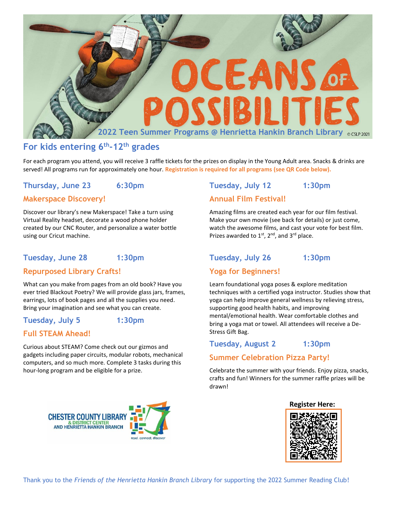

# **For kids entering 6th -12th grades**

For each program you attend, you will receive 3 raffle tickets for the prizes on display in the Young Adult area. Snacks & drinks are served! All programs run for approximately one hour. **Registration is required for all programs (see QR Code below).**

# **Thursday, June 23 6:30pm**

## **Makerspace Discovery!**

Discover our library's new Makerspace! Take a turn using Virtual Reality headset, decorate a wood phone holder created by our CNC Router, and personalize a water bottle using our Cricut machine.

# **Tuesday, June 28 1:30pm**

# **Repurposed Library Crafts!**

What can you make from pages from an old book? Have you ever tried Blackout Poetry? We will provide glass jars, frames, earrings, lots of book pages and all the supplies you need. Bring your imagination and see what you can create.

### **Tuesday, July 5 1:30pm**

# **Full STEAM Ahead!**

Curious about STEAM? Come check out our gizmos and gadgets including paper circuits, modular robots, mechanical computers, and so much more. Complete 3 tasks during this hour-long program and be eligible for a prize.

# **Tuesday, July 12 1:30pm Annual Film Festival!**

Amazing films are created each year for our film festival. Make your own movie (see back for details) or just come, watch the awesome films, and cast your vote for best film. Prizes awarded to  $1<sup>st</sup>$ ,  $2<sup>nd</sup>$ , and  $3<sup>rd</sup>$  place.

# **Tuesday, July 26 1:30pm**

# **Yoga for Beginners!**

Learn foundational yoga poses & explore meditation techniques with a certified yoga instructor. Studies show that yoga can help improve general wellness by relieving stress, supporting good health habits, and improving mental/emotional health. Wear comfortable clothes and bring a yoga mat or towel. All attendees will receive a De-Stress Gift Bag.

#### **Tuesday, August 2 1:30pm**

#### **Summer Celebration Pizza Party!**

Celebrate the summer with your friends. Enjoy pizza, snacks, crafts and fun! Winners for the summer raffle prizes will be drawn!